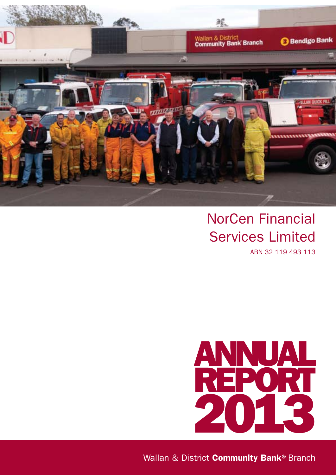

# NorCen Financial Services Limited

ABN 32 119 493 113



Wallan & District Community Bank® Branch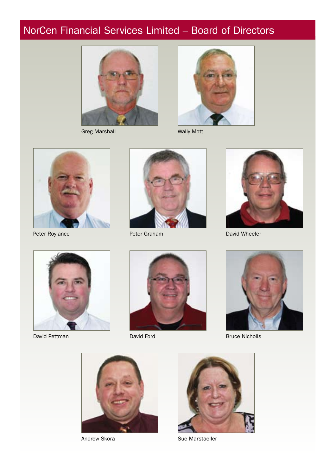# NorCen Financial Services Limited – Board of Directors



Greg Marshall Wally Mott





Peter Roylance



Peter Graham



David Wheeler



David Pettman



David Ford



Bruce Nicholls





Andrew Skora Sue Marstaeller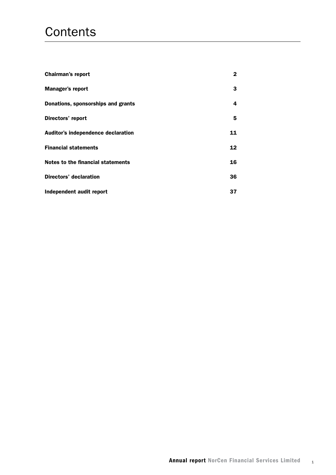# **Contents**

| <b>Chairman's report</b>           | 2  |
|------------------------------------|----|
| <b>Manager's report</b>            | 3  |
| Donations, sponsorships and grants | 4  |
| Directors' report                  | 5  |
| Auditor's independence declaration | 11 |
| <b>Financial statements</b>        | 12 |
| Notes to the financial statements  | 16 |
| Directors' declaration             | 36 |
| Independent audit report           | 37 |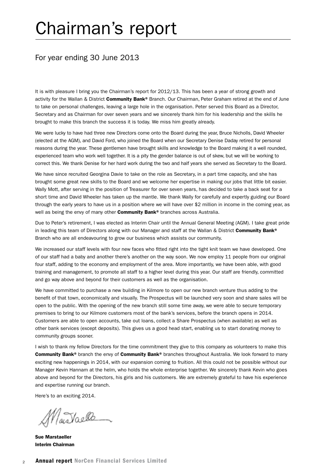# Chairman's report

### For year ending 30 June 2013

It is with pleasure I bring you the Chairman's report for 2012/13. This has been a year of strong growth and activity for the Wallan & District Community Bank® Branch. Our Chairman, Peter Graham retired at the end of June to take on personal challenges, leaving a large hole in the organisation. Peter served this Board as a Director, Secretary and as Chairman for over seven years and we sincerely thank him for his leadership and the skills he brought to make this branch the success it is today. We miss him greatly already.

We were lucky to have had three new Directors come onto the Board during the year, Bruce Nicholls, David Wheeler (elected at the AGM), and David Ford, who joined the Board when our Secretary Denise Daday retired for personal reasons during the year. These gentlemen have brought skills and knowledge to the Board making it a well rounded, experienced team who work well together. It is a pity the gender balance is out of skew, but we will be working to correct this. We thank Denise for her hard work during the two and half years she served as Secretary to the Board.

We have since recruited Georgina Davie to take on the role as Secretary, in a part time capacity, and she has brought some great new skills to the Board and we welcome her expertise in making our jobs that little bit easier. Wally Mott, after serving in the position of Treasurer for over seven years, has decided to take a back seat for a short time and David Wheeler has taken up the mantle. We thank Wally for carefully and expertly guiding our Board through the early years to have us in a position where we will have over \$2 million in income in the coming year, as well as being the envy of many other **Community Bank®** branches across Australia.

Due to Peter's retirement, I was elected as Interim Chair until the Annual General Meeting (AGM). I take great pride in leading this team of Directors along with our Manager and staff at the Wallan & District Community Bank® Branch who are all endeavouring to grow our business which assists our community.

We increased our staff levels with four new faces who fitted right into the tight knit team we have developed. One of our staff had a baby and another there's another on the way soon. We now employ 11 people from our original four staff, adding to the economy and employment of the area. More importantly, we have been able, with good training and management, to promote all staff to a higher level during this year. Our staff are friendly, committed and go way above and beyond for their customers as well as the organisation.

We have committed to purchase a new building in Kilmore to open our new branch venture thus adding to the benefit of that town, economically and visually. The Prospectus will be launched very soon and share sales will be open to the public. With the opening of the new branch still some time away, we were able to secure temporary premises to bring to our Kilmore customers most of the bank's services, before the branch opens in 2014. Customers are able to open accounts, take out loans, collect a Share Prospectus (when available) as well as other bank services (except deposits). This gives us a good head start, enabling us to start donating money to community groups sooner.

I wish to thank my fellow Directors for the time commitment they give to this company as volunteers to make this Community Bank<sup>®</sup> branch the envy of Community Bank® branches throughout Australia. We look forward to many exciting new happenings in 2014, with our expansion coming to fruition. All this could not be possible without our Manager Kevin Hannam at the helm, who holds the whole enterprise together. We sincerely thank Kevin who goes above and beyond for the Directors, his girls and his customers. We are extremely grateful to have his experience and expertise running our branch.

Here's to an exciting 2014.

Martaelle

Sue Marstaeller Interim Chairman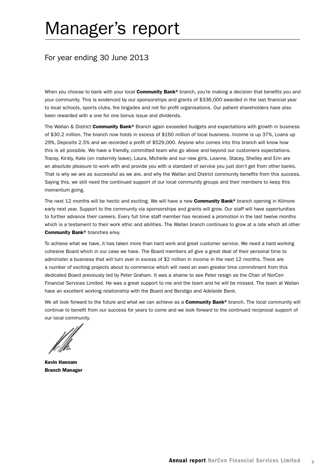# Manager's report

## For year ending 30 June 2013

When you choose to bank with your local **Community Bank**® branch, you're making a decision that benefits you and your community. This is evidenced by our sponsorships and grants of \$336,000 awarded in the last financial year to local schools, sports clubs, fire brigades and not for profit organisations. Our patient shareholders have also been rewarded with a one for one bonus issue and dividends.

The Wallan & District Community Bank® Branch again exceeded budgets and expectations with growth in business of \$30.2 million. The branch now holds in excess of \$160 million of local business. Income is up 37%, Loans up 29%, Deposits 2.5% and we recorded a profit of \$529,000. Anyone who comes into this branch will know how this is all possible. We have a friendly, committed team who go above and beyond our customers expectations. Tracey, Kirsty, Kate (on maternity leave), Laura, Michelle and our new girls, Leanne, Stacey, Shelley and Erin are an absolute pleasure to work with and provide you with a standard of service you just don't get from other banks. That is why we are as successful as we are, and why the Wallan and District community benefits from this success. Saying this, we still need the continued support of our local community groups and their members to keep this momentum going.

The next 12 months will be hectic and exciting. We will have a new **Community Bank®** branch opening in Kilmore early next year. Support to the community via sponsorships and grants will grow. Our staff will have opportunities to further advance their careers. Every full time staff member has received a promotion in the last twelve months which is a testament to their work ethic and abilities. The Wallan branch continues to grow at a rate which all other Community Bank<sup>®</sup> branches envy.

To achieve what we have, it has taken more than hard work and great customer service. We need a hard working cohesive Board which in our case we have. The Board members all give a great deal of their personal time to administer a business that will turn over in excess of \$2 million in income in the next 12 months. There are a number of exciting projects about to commence which will need an even greater time commitment from this dedicated Board previously led by Peter Graham. It was a shame to see Peter resign as the Chair of NorCen Financial Services Limited. He was a great support to me and the team and he will be missed. The team at Wallan have an excellent working relationship with the Board and Bendigo and Adelaide Bank.

We all look forward to the future and what we can achieve as a **Community Bank®** branch. The local community will continue to benefit from our success for years to come and we look forward to the continued reciprocal support of our local community.

Kevin Hannam Branch Manager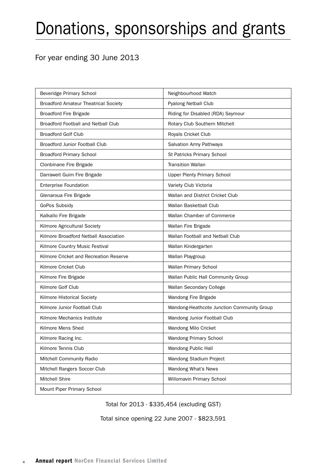# Donations, sponsorships and grants

## For year ending 30 June 2013

| Beveridge Primary School                    | Neighbourhood Watch                        |
|---------------------------------------------|--------------------------------------------|
| <b>Broadford Amateur Theatrical Society</b> | <b>Pyalong Netball Club</b>                |
| <b>Broadford Fire Brigade</b>               | Riding for Disabled (RDA) Seymour          |
| <b>Broadford Football and Netball Club</b>  | Rotary Club Southern Mitchell              |
| <b>Broadford Golf Club</b>                  | Royals Cricket Club                        |
| <b>Broadford Junior Football Club</b>       | Salvation Army Pathways                    |
| <b>Broadford Primary School</b>             | St Patricks Primary School                 |
| Clonbinane Fire Brigade                     | <b>Transition Wallan</b>                   |
| Darraweit Guim Fire Brigade                 | <b>Upper Plenty Primary School</b>         |
| <b>Enterprise Foundation</b>                | Variety Club Victoria                      |
| Glenaroua Fire Brigade                      | Wallan and District Cricket Club           |
| GoPos Subsidy                               | Wallan Basketball Club                     |
| Kalkallo Fire Brigade                       | Wallan Chamber of Commerce                 |
| Kilmore Agricultural Society                | Wallan Fire Brigade                        |
| Kilmore Broadford Netball Association       | Wallan Football and Netball Club           |
| Kilmore Country Music Festival              | Wallan Kindergarten                        |
| Kilmore Cricket and Recreation Reserve      | Wallan Playgroup                           |
| Kilmore Cricket Club                        | Wallan Primary School                      |
| Kilmore Fire Brigade                        | Wallan Public Hall Community Group         |
| Kilmore Golf Club                           | Wallan Secondary College                   |
| Kilmore Historical Society                  | Wandong Fire Brigade                       |
| Kilmore Junior Football Club                | Wandong-Heathcote Junction Community Group |
| Kilmore Mechanics Institute                 | Wandong Junior Football Club               |
| Kilmore Mens Shed                           | Wandong Milo Cricket                       |
| Kilmore Racing Inc.                         | <b>Wandong Primary School</b>              |
| Kilmore Tennis Club                         | Wandong Public Hall                        |
| Mitchell Community Radio                    | Wandong Stadium Project                    |
| Mitchell Rangers Soccer Club                | Wandong What's News                        |
| Mitchell Shire                              | Willomavin Primary School                  |
| Mount Piper Primary School                  |                                            |

Total for 2013 - \$335,454 (excluding GST)

Total since opening 22 June 2007 - \$823,591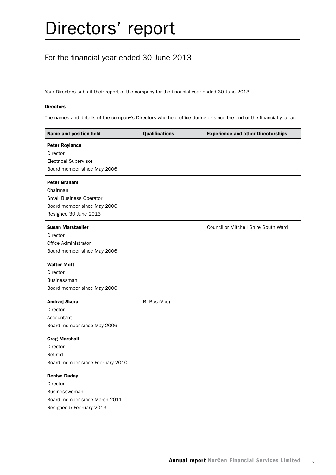## For the financial year ended 30 June 2013

Your Directors submit their report of the company for the financial year ended 30 June 2013.

#### Directors

The names and details of the company's Directors who held office during or since the end of the financial year are:

| Name and position held                                                                                               | <b>Qualifications</b> | <b>Experience and other Directorships</b>   |
|----------------------------------------------------------------------------------------------------------------------|-----------------------|---------------------------------------------|
| <b>Peter Roylance</b><br><b>Director</b>                                                                             |                       |                                             |
| <b>Electrical Supervisor</b><br>Board member since May 2006                                                          |                       |                                             |
| <b>Peter Graham</b><br>Chairman<br>Small Business Operator<br>Board member since May 2006<br>Resigned 30 June 2013   |                       |                                             |
| <b>Susan Marstaeller</b><br>Director<br>Office Administrator<br>Board member since May 2006                          |                       | <b>Councillor Mitchell Shire South Ward</b> |
| <b>Walter Mott</b><br><b>Director</b><br><b>Businessman</b><br>Board member since May 2006                           |                       |                                             |
| Andrzej Skora<br><b>Director</b><br>Accountant<br>Board member since May 2006                                        | B. Bus (Acc)          |                                             |
| <b>Greg Marshall</b><br><b>Director</b><br>Retired<br>Board member since February 2010                               |                       |                                             |
| <b>Denise Daday</b><br><b>Director</b><br>Businesswoman<br>Board member since March 2011<br>Resigned 5 February 2013 |                       |                                             |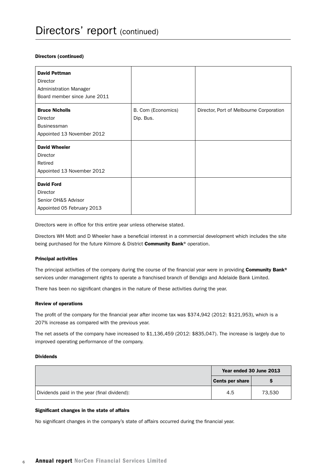#### Directors (continued)

| <b>David Pettman</b><br><b>Director</b><br><b>Administration Manager</b><br>Board member since June 2011 |                                 |                                         |
|----------------------------------------------------------------------------------------------------------|---------------------------------|-----------------------------------------|
| <b>Bruce Nicholls</b><br><b>Director</b><br><b>Businessman</b><br>Appointed 13 November 2012             | B. Com (Economics)<br>Dip. Bus. | Director, Port of Melbourne Corporation |
| <b>David Wheeler</b><br>Director<br>Retired<br>Appointed 13 November 2012                                |                                 |                                         |
| <b>David Ford</b><br>Director<br>Senior OH&S Advisor<br>Appointed 05 February 2013                       |                                 |                                         |

Directors were in office for this entire year unless otherwise stated.

Directors WH Mott and D Wheeler have a beneficial interest in a commercial development which includes the site being purchased for the future Kilmore & District Community Bank® operation.

#### Principal activities

The principal activities of the company during the course of the financial year were in providing Community Bank<sup>®</sup> services under management rights to operate a franchised branch of Bendigo and Adelaide Bank Limited.

There has been no significant changes in the nature of these activities during the year.

#### Review of operations

The profit of the company for the financial year after income tax was \$374,942 (2012: \$121,953), which is a 207% increase as compared with the previous year.

The net assets of the company have increased to \$1,136,459 (2012: \$835,047). The increase is largely due to improved operating performance of the company.

#### Dividends

|                                              | Year ended 30 June 2013 |        |
|----------------------------------------------|-------------------------|--------|
|                                              | <b>Cents per share</b>  |        |
| Dividends paid in the year (final dividend): | 4.5                     | 73.530 |

#### Significant changes in the state of affairs

No significant changes in the company's state of affairs occurred during the financial year.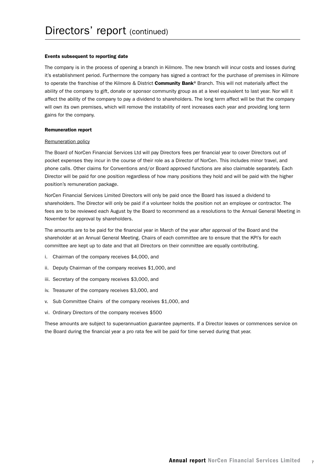#### Events subsequent to reporting date

The company is in the process of opening a branch in Kilmore. The new branch will incur costs and losses during it's establishment period. Furthermore the company has signed a contract for the purchase of premises in Kilmore to operate the franchise of the Kilmore & District Community Bank® Branch. This will not materially affect the ability of the company to gift, donate or sponsor community group as at a level equivalent to last year. Nor will it affect the ability of the company to pay a dividend to shareholders. The long term affect will be that the company will own its own premises, which will remove the instability of rent increases each year and providing long term gains for the company.

#### Remuneration report

#### Remuneration policy

The Board of NorCen Financial Services Ltd will pay Directors fees per financial year to cover Directors out of pocket expenses they incur in the course of their role as a Director of NorCen. This includes minor travel, and phone calls. Other claims for Conventions and/or Board approved functions are also claimable separately. Each Director will be paid for one position regardless of how many positions they hold and will be paid with the higher position's remuneration package.

NorCen Financial Services Limited Directors will only be paid once the Board has issued a dividend to shareholders. The Director will only be paid if a volunteer holds the position not an employee or contractor. The fees are to be reviewed each August by the Board to recommend as a resolutions to the Annual General Meeting in November for approval by shareholders.

The amounts are to be paid for the financial year in March of the year after approval of the Board and the shareholder at an Annual General Meeting. Chairs of each committee are to ensure that the KPI's for each committee are kept up to date and that all Directors on their committee are equally contributing.

- i. Chairman of the company receives \$4,000, and
- ii. Deputy Chairman of the company receives \$1,000, and
- iii. Secretary of the company receives \$3,000, and
- iv. Treasurer of the company receives \$3,000, and
- v. Sub Committee Chairs of the company receives \$1,000, and
- vi. Ordinary Directors of the company receives \$500

These amounts are subject to superannuation guarantee payments. If a Director leaves or commences service on the Board during the financial year a pro rata fee will be paid for time served during that year.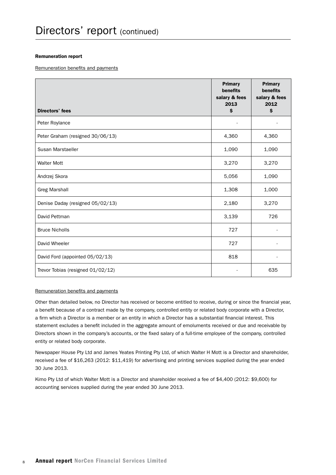#### Remuneration report

Remuneration benefits and payments

| <b>Directors' fees</b>            | <b>Primary</b><br>benefits<br>salary & fees<br>2013<br>\$ | <b>Primary</b><br>benefits<br>salary & fees<br>2012<br>\$ |
|-----------------------------------|-----------------------------------------------------------|-----------------------------------------------------------|
| Peter Roylance                    |                                                           |                                                           |
| Peter Graham (resigned 30/06/13)  | 4,360                                                     | 4,360                                                     |
| Susan Marstaeller                 | 1,090                                                     | 1,090                                                     |
| <b>Walter Mott</b>                | 3,270                                                     | 3,270                                                     |
| Andrzej Skora                     | 5,056                                                     | 1,090                                                     |
| <b>Greg Marshall</b>              | 1,308                                                     | 1,000                                                     |
| Denise Daday (resigned 05/02/13)  | 2,180                                                     | 3,270                                                     |
| David Pettman                     | 3,139                                                     | 726                                                       |
| <b>Bruce Nicholls</b>             | 727                                                       |                                                           |
| David Wheeler                     | 727                                                       |                                                           |
| David Ford (appointed 05/02/13)   | 818                                                       |                                                           |
| Trevor Tobias (resigned 01/02/12) |                                                           | 635                                                       |

#### Remuneration benefits and payments

Other than detailed below, no Director has received or become entitled to receive, during or since the financial year, a benefit because of a contract made by the company, controlled entity or related body corporate with a Director, a firm which a Director is a member or an entity in which a Director has a substantial financial interest. This statement excludes a benefit included in the aggregate amount of emoluments received or due and receivable by Directors shown in the company's accounts, or the fixed salary of a full-time employee of the company, controlled entity or related body corporate.

Newspaper House Pty Ltd and James Yeates Printing Pty Ltd, of which Walter H Mott is a Director and shareholder, received a fee of \$16,263 (2012: \$11,419) for advertising and printing services supplied during the year ended 30 June 2013.

Kimo Pty Ltd of which Walter Mott is a Director and shareholder received a fee of \$4,400 (2012: \$9,600) for accounting services supplied during the year ended 30 June 2013.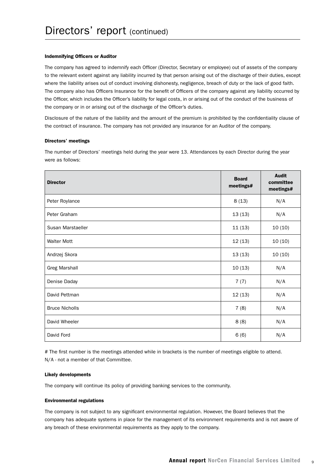#### Indemnifying Officers or Auditor

The company has agreed to indemnify each Officer (Director, Secretary or employee) out of assets of the company to the relevant extent against any liability incurred by that person arising out of the discharge of their duties, except where the liability arises out of conduct involving dishonesty, negligence, breach of duty or the lack of good faith. The company also has Officers Insurance for the benefit of Officers of the company against any liability occurred by the Officer, which includes the Officer's liability for legal costs, in or arising out of the conduct of the business of the company or in or arising out of the discharge of the Officer's duties.

Disclosure of the nature of the liability and the amount of the premium is prohibited by the confidentiality clause of the contract of insurance. The company has not provided any insurance for an Auditor of the company.

#### Directors' meetings

The number of Directors' meetings held during the year were 13. Attendances by each Director during the year were as follows:

| <b>Director</b>       | <b>Board</b><br>meetings# | <b>Audit</b><br>committee<br>meetings# |
|-----------------------|---------------------------|----------------------------------------|
| Peter Roylance        | 8(13)                     | N/A                                    |
| Peter Graham          | 13(13)                    | N/A                                    |
| Susan Marstaeller     | 11(13)                    | 10(10)                                 |
| <b>Walter Mott</b>    | 12(13)                    | 10(10)                                 |
| Andrzej Skora         | 13(13)                    | 10(10)                                 |
| <b>Greg Marshall</b>  | 10(13)                    | N/A                                    |
| Denise Daday          | 7(7)                      | N/A                                    |
| David Pettman         | 12(13)                    | N/A                                    |
| <b>Bruce Nicholls</b> | 7(8)                      | N/A                                    |
| David Wheeler         | 8(8)                      | N/A                                    |
| David Ford            | 6(6)                      | N/A                                    |

# The first number is the meetings attended while in brackets is the number of meetings eligible to attend. N/A - not a member of that Committee.

#### Likely developments

The company will continue its policy of providing banking services to the community.

#### Environmental regulations

The company is not subject to any significant environmental regulation. However, the Board believes that the company has adequate systems in place for the management of its environment requirements and is not aware of any breach of these environmental requirements as they apply to the company.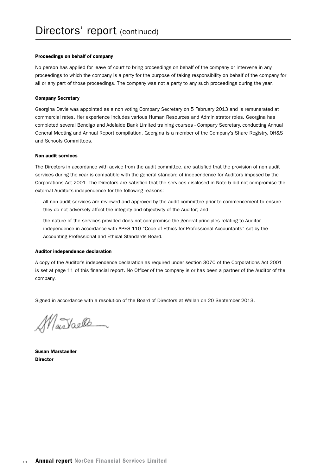#### Proceedings on behalf of company

No person has applied for leave of court to bring proceedings on behalf of the company or intervene in any proceedings to which the company is a party for the purpose of taking responsibility on behalf of the company for all or any part of those proceedings. The company was not a party to any such proceedings during the year.

#### Company Secretary

Georgina Davie was appointed as a non voting Company Secretary on 5 February 2013 and is remunerated at commercial rates. Her experience includes various Human Resources and Administrator roles. Georgina has completed several Bendigo and Adelaide Bank Limited training courses - Company Secretary, conducting Annual General Meeting and Annual Report compilation. Georgina is a member of the Company's Share Registry, OH&S and Schools Committees.

#### Non audit services

The Directors in accordance with advice from the audit committee, are satisfied that the provision of non audit services during the year is compatible with the general standard of independence for Auditors imposed by the Corporations Act 2001. The Directors are satisfied that the services disclosed in Note 5 did not compromise the external Auditor's independence for the following reasons:

- all non audit services are reviewed and approved by the audit committee prior to commencement to ensure they do not adversely affect the integrity and objectivity of the Auditor; and
- the nature of the services provided does not compromise the general principles relating to Auditor independence in accordance with APES 110 "Code of Ethics for Professional Accountants" set by the Accounting Professional and Ethical Standards Board.

#### Auditor independence declaration

A copy of the Auditor's independence declaration as required under section 307C of the Corporations Act 2001 is set at page 11 of this financial report. No Officer of the company is or has been a partner of the Auditor of the company.

Signed in accordance with a resolution of the Board of Directors at Wallan on 20 September 2013.

MarTaelle

Susan Marstaeller **Director**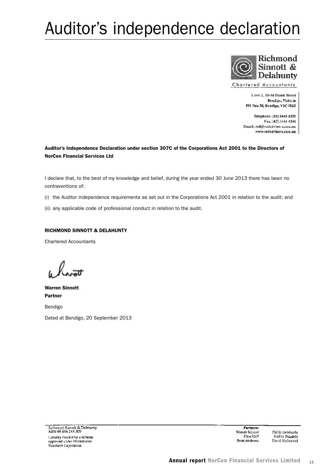# Auditor's independence declaration



Chartered Accountants

Level 2, 10-16 Forest Street Bendigo, Victoria PO Box 30, Bendigo, VIC 3552

Telephone: (03) 5445 4200 Fax: (03) 5444 4344 Email: rsd@rsdadvisors.com.au www.rsdadvisors.com.au

#### Auditor's Independence Declaration under section 307C of the Corporations Act 2001 to the Directors of NorCen Financial Services Ltd

I declare that, to the best of my knowledge and belief, during the year ended 30 June 2013 there has been no contraventions of:

(i) the Auditor independence requirements as set out in the Corporations Act 2001 in relation to the audit; and

(ii) any applicable code of professional conduct in relation to the audit.

#### RICHMOND SINNOTT & DELAHUNTY

Chartered Accountants

Warren Sinnott Partner

Bendigo

Dated at Bendigo, 20 September 2013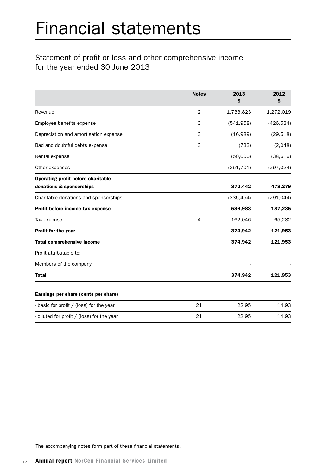## Statement of profit or loss and other comprehensive income for the year ended 30 June 2013

|                                            | <b>Notes</b>   | 2013<br>\$ | 2012<br>\$ |
|--------------------------------------------|----------------|------------|------------|
| Revenue                                    | 2              | 1,733,823  | 1,272,019  |
| Employee benefits expense                  | 3              | (541, 958) | (426, 534) |
| Depreciation and amortisation expense      | 3              | (16,989)   | (29, 518)  |
| Bad and doubtful debts expense             | 3              | (733)      | (2,048)    |
| Rental expense                             |                | (50,000)   | (38, 616)  |
| Other expenses                             |                | (251, 701) | (297, 024) |
| <b>Operating profit before charitable</b>  |                |            |            |
| donations & sponsorships                   |                | 872,442    | 478,279    |
| Charitable donations and sponsorships      |                | (335, 454) | (291, 044) |
| Profit before income tax expense           |                | 536,988    | 187,235    |
| Tax expense                                | $\overline{4}$ | 162,046    | 65,282     |
| Profit for the year                        |                | 374,942    | 121,953    |
| <b>Total comprehensive income</b>          |                | 374,942    | 121,953    |
| Profit attributable to:                    |                |            |            |
| Members of the company                     |                |            |            |
| <b>Total</b>                               |                | 374,942    | 121,953    |
| Earnings per share (cents per share)       |                |            |            |
| - basic for profit / (loss) for the year   | 21             | 22.95      | 14.93      |
| - diluted for profit / (loss) for the year | 21             | 22.95      | 14.93      |

The accompanying notes form part of these financial statements.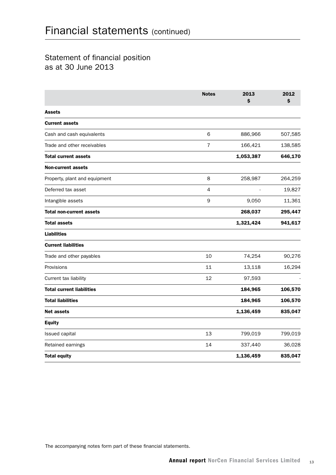## Statement of financial position as at 30 June 2013

|                                  | <b>Notes</b>   | 2013<br>Ś | 2012<br>\$ |
|----------------------------------|----------------|-----------|------------|
| <b>Assets</b>                    |                |           |            |
| <b>Current assets</b>            |                |           |            |
| Cash and cash equivalents        | 6              | 886,966   | 507,585    |
| Trade and other receivables      | $\overline{7}$ | 166,421   | 138,585    |
| <b>Total current assets</b>      |                | 1,053,387 | 646,170    |
| <b>Non-current assets</b>        |                |           |            |
| Property, plant and equipment    | 8              | 258,987   | 264,259    |
| Deferred tax asset               | 4              |           | 19,827     |
| Intangible assets                | 9              | 9,050     | 11,361     |
| <b>Total non-current assets</b>  |                | 268,037   | 295,447    |
| <b>Total assets</b>              |                | 1,321,424 | 941,617    |
| <b>Liabilities</b>               |                |           |            |
| <b>Current liabilities</b>       |                |           |            |
| Trade and other payables         | 10             | 74,254    | 90,276     |
| Provisions                       | 11             | 13,118    | 16,294     |
| Current tax liability            | 12             | 97,593    |            |
| <b>Total current liabilities</b> |                | 184,965   | 106,570    |
| <b>Total liabilities</b>         |                | 184,965   | 106,570    |
| Net assets                       |                | 1,136,459 | 835,047    |
| <b>Equity</b>                    |                |           |            |
| Issued capital                   | 13             | 799,019   | 799,019    |
| Retained earnings                | 14             | 337,440   | 36,028     |
| <b>Total equity</b>              |                | 1,136,459 | 835,047    |

The accompanying notes form part of these financial statements.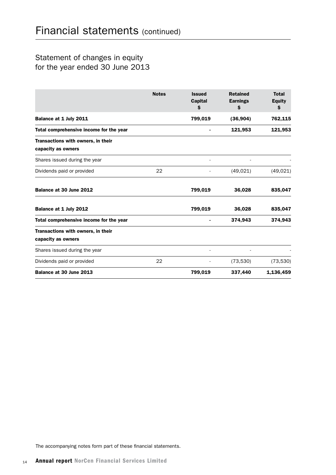## Statement of changes in equity for the year ended 30 June 2013

|                                                          | <b>Notes</b> | <b>Issued</b><br><b>Capital</b><br>\$ | <b>Retained</b><br><b>Earnings</b><br>\$ | <b>Total</b><br><b>Equity</b><br>\$ |
|----------------------------------------------------------|--------------|---------------------------------------|------------------------------------------|-------------------------------------|
| Balance at 1 July 2011                                   |              | 799,019                               | (36, 904)                                | 762,115                             |
| Total comprehensive income for the year                  |              |                                       | 121,953                                  | 121,953                             |
| Transactions with owners, in their<br>capacity as owners |              |                                       |                                          |                                     |
| Shares issued during the year                            |              |                                       |                                          |                                     |
| Dividends paid or provided                               | 22           |                                       | (49, 021)                                | (49, 021)                           |
| Balance at 30 June 2012                                  |              | 799,019                               | 36,028                                   | 835,047                             |
| Balance at 1 July 2012                                   |              | 799,019                               | 36,028                                   | 835,047                             |
| Total comprehensive income for the year                  |              |                                       | 374,943                                  | 374,943                             |
| Transactions with owners, in their<br>capacity as owners |              |                                       |                                          |                                     |
| Shares issued during the year                            |              |                                       |                                          |                                     |
| Dividends paid or provided                               | 22           |                                       | (73, 530)                                | (73, 530)                           |
| Balance at 30 June 2013                                  |              | 799,019                               | 337,440                                  | 1,136,459                           |

The accompanying notes form part of these financial statements.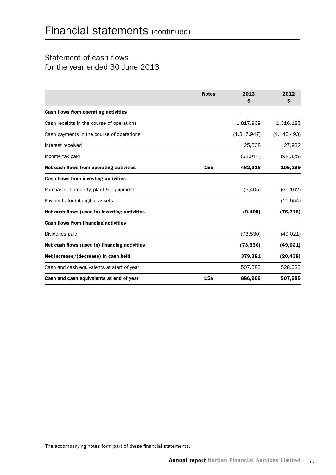## Statement of cash flows for the year ended 30 June 2013

|                                               | <b>Notes</b>    | 2013<br>S   | 2012<br>\$    |
|-----------------------------------------------|-----------------|-------------|---------------|
| <b>Cash flows from operating activities</b>   |                 |             |               |
| Cash receipts in the course of operations     |                 | 1,817,969   | 1,316,185     |
| Cash payments in the course of operations     |                 | (1,317,947) | (1, 140, 493) |
| Interest received                             |                 | 25,308      | 27,932        |
| Income tax paid                               |                 | (63, 014)   | (98, 325)     |
| Net cash flows from operating activities      | 15 <sub>b</sub> | 462,316     | 105,299       |
| Cash flows from investing activities          |                 |             |               |
| Purchase of property, plant & equipment       |                 | (9,405)     | (65, 162)     |
| Payments for intangible assets                |                 |             | (11, 554)     |
| Net cash flows (used in) investing activities |                 | (9,405)     | (76, 716)     |
| <b>Cash flows from financing activities</b>   |                 |             |               |
| Dividends paid                                |                 | (73, 530)   | (49, 021)     |
| Net cash flows (used in) financing activities |                 | (73,530)    | (49, 021)     |
| Net increase/(decrease) in cash held          |                 | 379,381     | (20, 438)     |
| Cash and cash equivalents at start of year    |                 | 507,585     | 528,023       |
| Cash and cash equivalents at end of year      | 15a             | 886,966     | 507,585       |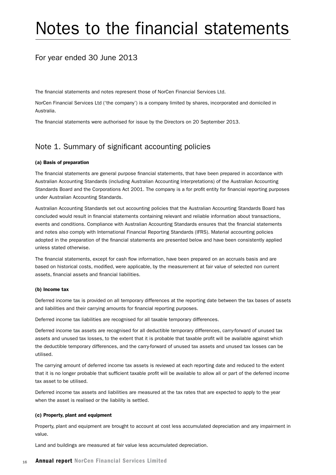# Notes to the financial statements

### For year ended 30 June 2013

The financial statements and notes represent those of NorCen Financial Services Ltd.

NorCen Financial Services Ltd ('the company') is a company limited by shares, incorporated and domiciled in Australia.

The financial statements were authorised for issue by the Directors on 20 September 2013.

### Note 1. Summary of significant accounting policies

#### (a) Basis of preparation

The financial statements are general purpose financial statements, that have been prepared in accordance with Australian Accounting Standards (including Australian Accounting Interpretations) of the Australian Accounting Standards Board and the Corporations Act 2001. The company is a for profit entity for financial reporting purposes under Australian Accounting Standards.

Australian Accounting Standards set out accounting policies that the Australian Accounting Standards Board has concluded would result in financial statements containing relevant and reliable information about transactions, events and conditions. Compliance with Australian Accounting Standards ensures that the financial statements and notes also comply with International Financial Reporting Standards (IFRS). Material accounting policies adopted in the preparation of the financial statements are presented below and have been consistently applied unless stated otherwise.

The financial statements, except for cash flow information, have been prepared on an accruals basis and are based on historical costs, modified, were applicable, by the measurement at fair value of selected non current assets, financial assets and financial liabilities.

#### (b) Income tax

Deferred income tax is provided on all temporary differences at the reporting date between the tax bases of assets and liabilities and their carrying amounts for financial reporting purposes.

Deferred income tax liabilities are recognised for all taxable temporary differences.

Deferred income tax assets are recognised for all deductible temporary differences, carry-forward of unused tax assets and unused tax losses, to the extent that it is probable that taxable profit will be available against which the deductible temporary differences, and the carry-forward of unused tax assets and unused tax losses can be utilised.

The carrying amount of deferred income tax assets is reviewed at each reporting date and reduced to the extent that it is no longer probable that sufficient taxable profit will be available to allow all or part of the deferred income tax asset to be utilised.

Deferred income tax assets and liabilities are measured at the tax rates that are expected to apply to the year when the asset is realised or the liability is settled.

#### (c) Property, plant and equipment

Property, plant and equipment are brought to account at cost less accumulated depreciation and any impairment in value.

Land and buildings are measured at fair value less accumulated depreciation.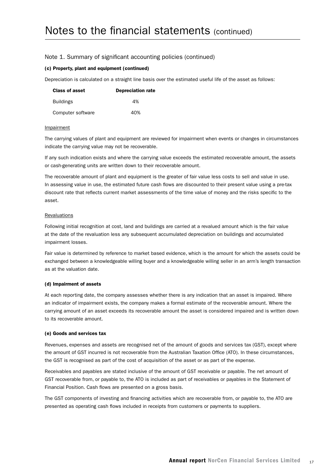#### (c) Property, plant and equipment (continued)

Depreciation is calculated on a straight line basis over the estimated useful life of the asset as follows:

| <b>Class of asset</b> | <b>Depreciation rate</b> |
|-----------------------|--------------------------|
| <b>Buildings</b>      | 4%                       |
| Computer software     | 40%                      |

#### Impairment

The carrying values of plant and equipment are reviewed for impairment when events or changes in circumstances indicate the carrying value may not be recoverable.

If any such indication exists and where the carrying value exceeds the estimated recoverable amount, the assets or cash-generating units are written down to their recoverable amount.

The recoverable amount of plant and equipment is the greater of fair value less costs to sell and value in use. In assessing value in use, the estimated future cash flows are discounted to their present value using a pre-tax discount rate that reflects current market assessments of the time value of money and the risks specific to the asset.

#### Revaluations

Following initial recognition at cost, land and buildings are carried at a revalued amount which is the fair value at the date of the revaluation less any subsequent accumulated depreciation on buildings and accumulated impairment losses.

Fair value is determined by reference to market based evidence, which is the amount for which the assets could be exchanged between a knowledgeable willing buyer and a knowledgeable willing seller in an arm's length transaction as at the valuation date.

#### (d) Impairment of assets

At each reporting date, the company assesses whether there is any indication that an asset is impaired. Where an indicator of impairment exists, the company makes a formal estimate of the recoverable amount. Where the carrying amount of an asset exceeds its recoverable amount the asset is considered impaired and is written down to its recoverable amount.

#### (e) Goods and services tax

Revenues, expenses and assets are recognised net of the amount of goods and services tax (GST), except where the amount of GST incurred is not recoverable from the Australian Taxation Office (ATO). In these circumstances, the GST is recognised as part of the cost of acquisition of the asset or as part of the expense.

Receivables and payables are stated inclusive of the amount of GST receivable or payable. The net amount of GST recoverable from, or payable to, the ATO is included as part of receivables or payables in the Statement of Financial Position. Cash flows are presented on a gross basis.

The GST components of investing and financing activities which are recoverable from, or payable to, the ATO are presented as operating cash flows included in receipts from customers or payments to suppliers.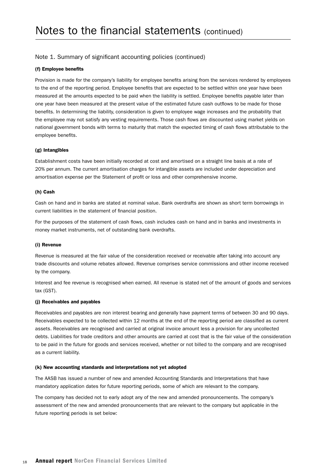#### (f) Employee benefits

Provision is made for the company's liability for employee benefits arising from the services rendered by employees to the end of the reporting period. Employee benefits that are expected to be settled within one year have been measured at the amounts expected to be paid when the liability is settled. Employee benefits payable later than one year have been measured at the present value of the estimated future cash outflows to be made for those benefits. In determining the liability, consideration is given to employee wage increases and the probability that the employee may not satisfy any vesting requirements. Those cash flows are discounted using market yields on national government bonds with terms to maturity that match the expected timing of cash flows attributable to the employee benefits.

#### (g) Intangibles

Establishment costs have been initially recorded at cost and amortised on a straight line basis at a rate of 20% per annum. The current amortisation charges for intangible assets are included under depreciation and amortisation expense per the Statement of profit or loss and other comprehensive income.

#### (h) Cash

Cash on hand and in banks are stated at nominal value. Bank overdrafts are shown as short term borrowings in current liabilities in the statement of financial position.

For the purposes of the statement of cash flows, cash includes cash on hand and in banks and investments in money market instruments, net of outstanding bank overdrafts.

#### (i) Revenue

Revenue is measured at the fair value of the consideration received or receivable after taking into account any trade discounts and volume rebates allowed. Revenue comprises service commissions and other income received by the company.

Interest and fee revenue is recognised when earned. All revenue is stated net of the amount of goods and services tax (GST).

#### (j) Receivables and payables

Receivables and payables are non interest bearing and generally have payment terms of between 30 and 90 days. Receivables expected to be collected within 12 months at the end of the reporting period are classified as current assets. Receivables are recognised and carried at original invoice amount less a provision for any uncollected debts. Liabilities for trade creditors and other amounts are carried at cost that is the fair value of the consideration to be paid in the future for goods and services received, whether or not billed to the company and are recognised as a current liability.

#### (k) New accounting standards and interpretations not yet adopted

The AASB has issued a number of new and amended Accounting Standards and Interpretations that have mandatory application dates for future reporting periods, some of which are relevant to the company.

The company has decided not to early adopt any of the new and amended pronouncements. The company's assessment of the new and amended pronouncements that are relevant to the company but applicable in the future reporting periods is set below: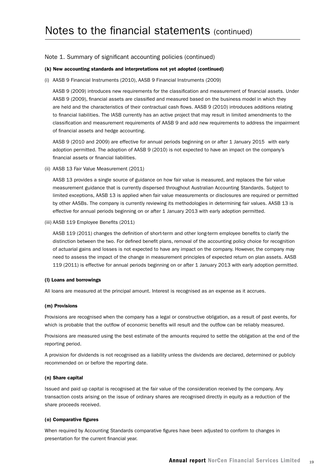#### (k) New accounting standards and interpretations not yet adopted (continued)

(i) AASB 9 Financial Instruments (2010), AASB 9 Financial Instruments (2009)

AASB 9 (2009) introduces new requirements for the classification and measurement of financial assets. Under AASB 9 (2009), financial assets are classified and measured based on the business model in which they are held and the characteristics of their contractual cash flows. AASB 9 (2010) introduces additions relating to financial liabilities. The IASB currently has an active project that may result in limited amendments to the classification and measurement requirements of AASB 9 and add new requirements to address the impairment of financial assets and hedge accounting.

AASB 9 (2010 and 2009) are effective for annual periods beginning on or after 1 January 2015 with early adoption permitted. The adoption of AASB 9 (2010) is not expected to have an impact on the company's financial assets or financial liabilities.

(ii) AASB 13 Fair Value Measurement (2011)

AASB 13 provides a single source of guidance on how fair value is measured, and replaces the fair value measurement guidance that is currently dispersed throughout Australian Accounting Standards. Subject to limited exceptions, AASB 13 is applied when fair value measurements or disclosures are required or permitted by other AASBs. The company is currently reviewing its methodologies in determining fair values. AASB 13 is effective for annual periods beginning on or after 1 January 2013 with early adoption permitted.

(iii) AASB 119 Employee Benefits (2011)

AASB 119 (2011) changes the definition of short-term and other long-term employee benefits to clarify the distinction between the two. For defined benefit plans, removal of the accounting policy choice for recognition of actuarial gains and losses is not expected to have any impact on the company. However, the company may need to assess the impact of the change in measurement principles of expected return on plan assets. AASB 119 (2011) is effective for annual periods beginning on or after 1 January 2013 with early adoption permitted.

#### (l) Loans and borrowings

All loans are measured at the principal amount. Interest is recognised as an expense as it accrues.

#### (m) Provisions

Provisions are recognised when the company has a legal or constructive obligation, as a result of past events, for which is probable that the outflow of economic benefits will result and the outflow can be reliably measured.

Provisions are measured using the best estimate of the amounts required to settle the obligation at the end of the reporting period.

A provision for dividends is not recognised as a liability unless the dividends are declared, determined or publicly recommended on or before the reporting date.

#### (n) Share capital

Issued and paid up capital is recognised at the fair value of the consideration received by the company. Any transaction costs arising on the issue of ordinary shares are recognised directly in equity as a reduction of the share proceeds received.

#### (o) Comparative figures

When required by Accounting Standards comparative figures have been adjusted to conform to changes in presentation for the current financial year.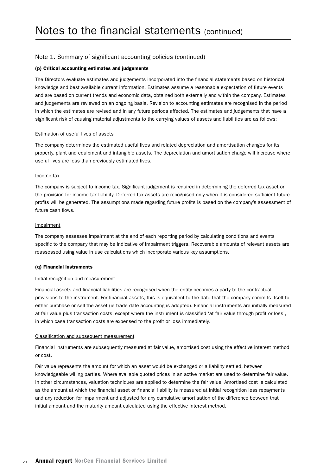#### (p) Critical accounting estimates and judgements

The Directors evaluate estimates and judgements incorporated into the financial statements based on historical knowledge and best available current information. Estimates assume a reasonable expectation of future events and are based on current trends and economic data, obtained both externally and within the company. Estimates and judgements are reviewed on an ongoing basis. Revision to accounting estimates are recognised in the period in which the estimates are revised and in any future periods affected. The estimates and judgements that have a significant risk of causing material adjustments to the carrying values of assets and liabilities are as follows:

#### Estimation of useful lives of assets

The company determines the estimated useful lives and related depreciation and amortisation changes for its property, plant and equipment and intangible assets. The depreciation and amortisation charge will increase where useful lives are less than previously estimated lives.

#### Income tax

The company is subject to income tax. Significant judgement is required in determining the deferred tax asset or the provision for income tax liability. Deferred tax assets are recognised only when it is considered sufficient future profits will be generated. The assumptions made regarding future profits is based on the company's assessment of future cash flows.

#### **Impairment**

The company assesses impairment at the end of each reporting period by calculating conditions and events specific to the company that may be indicative of impairment triggers. Recoverable amounts of relevant assets are reassessed using value in use calculations which incorporate various key assumptions.

#### (q) Financial instruments

#### Initial recognition and measurement

Financial assets and financial liabilities are recognised when the entity becomes a party to the contractual provisions to the instrument. For financial assets, this is equivalent to the date that the company commits itself to either purchase or sell the asset (ie trade date accounting is adopted). Financial instruments are initially measured at fair value plus transaction costs, except where the instrument is classified 'at fair value through profit or loss', in which case transaction costs are expensed to the profit or loss immediately.

#### Classification and subsequent measurement

Financial instruments are subsequently measured at fair value, amortised cost using the effective interest method or cost.

Fair value represents the amount for which an asset would be exchanged or a liability settled, between knowledgeable willing parties. Where available quoted prices in an active market are used to determine fair value. In other circumstances, valuation techniques are applied to determine the fair value. Amortised cost is calculated as the amount at which the financial asset or financial liability is measured at initial recognition less repayments and any reduction for impairment and adjusted for any cumulative amortisation of the difference between that initial amount and the maturity amount calculated using the effective interest method.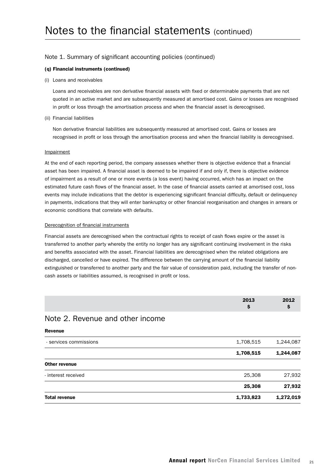#### (q) Financial instruments (continued)

(i) Loans and receivables

Loans and receivables are non derivative financial assets with fixed or determinable payments that are not quoted in an active market and are subsequently measured at amortised cost. Gains or losses are recognised in profit or loss through the amortisation process and when the financial asset is derecognised.

(ii) Financial liabilities

Non derivative financial liabilities are subsequently measured at amortised cost. Gains or losses are recognised in profit or loss through the amortisation process and when the financial liability is derecognised.

#### Impairment

At the end of each reporting period, the company assesses whether there is objective evidence that a financial asset has been impaired. A financial asset is deemed to be impaired if and only if, there is objective evidence of impairment as a result of one or more events (a loss event) having occurred, which has an impact on the estimated future cash flows of the financial asset. In the case of financial assets carried at amortised cost, loss events may include indications that the debtor is experiencing significant financial difficulty, default or delinquency in payments, indications that they will enter bankruptcy or other financial reorganisation and changes in arrears or economic conditions that correlate with defaults.

#### Derecognition of financial instruments

Financial assets are derecognised when the contractual rights to receipt of cash flows expire or the asset is transferred to another party whereby the entity no longer has any significant continuing involvement in the risks and benefits associated with the asset. Financial liabilities are derecognised when the related obligations are discharged, cancelled or have expired. The difference between the carrying amount of the financial liability extinguished or transferred to another party and the fair value of consideration paid, including the transfer of noncash assets or liabilities assumed, is recognised in profit or loss.

|  | 2013 | 2012 |
|--|------|------|
|  |      |      |

### Note 2. Revenue and other income

| <b>Total revenue</b>   | 1,733,823 | 1,272,019 |
|------------------------|-----------|-----------|
|                        | 25,308    | 27,932    |
| - interest received    | 25,308    | 27,932    |
| Other revenue          |           |           |
|                        | 1,708,515 | 1,244,087 |
| - services commissions | 1,708,515 | 1,244,087 |
| <b>Revenue</b>         |           |           |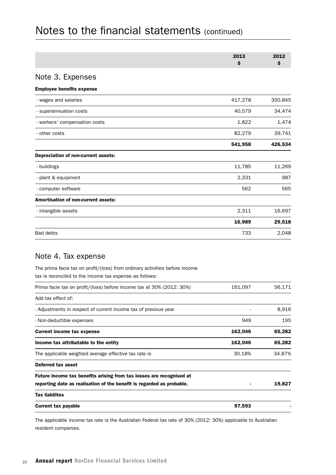|                                                                                                                                        | 2013<br>\$ | 2012<br>\$ |
|----------------------------------------------------------------------------------------------------------------------------------------|------------|------------|
| Note 3. Expenses                                                                                                                       |            |            |
| <b>Employee benefits expense</b>                                                                                                       |            |            |
| - wages and salaries                                                                                                                   | 417,278    | 350,845    |
| - superannuation costs                                                                                                                 | 40,579     | 34,474     |
| - workers' compensation costs                                                                                                          | 1,822      | 1,474      |
| - other costs                                                                                                                          | 82,279     | 39,741     |
|                                                                                                                                        | 541,958    | 426,534    |
| Depreciation of non-current assets:                                                                                                    |            |            |
| - buildings                                                                                                                            | 11,785     | 11,269     |
| - plant & equipment                                                                                                                    | 2,331      | 987        |
| - computer software                                                                                                                    | 562        | 565        |
| Amortisation of non-current assets:                                                                                                    |            |            |
| - intangible assets                                                                                                                    | 2,311      | 16,697     |
|                                                                                                                                        | 16,989     | 29,518     |
| <b>Bad debts</b>                                                                                                                       | 733        | 2,048      |
| Note 4. Tax expense                                                                                                                    |            |            |
| The prima facie tax on profit/(loss) from ordinary activities before income<br>tax is reconciled to the income tax expense as follows: |            |            |
| Prima facie tax on profit/(loss) before income tax at 30% (2012: 30%)                                                                  | 161,097    | 56,171     |
| Add tax effect of:                                                                                                                     |            |            |
| - Adjustments in respect of current income tax of previous year                                                                        |            | 8,916      |
| - Non-deductible expenses                                                                                                              | 949        | 195        |
| <b>Current income tax expense</b>                                                                                                      | 162,046    | 65,282     |
| Income tax attributable to the entity                                                                                                  | 162,046    | 65,282     |
| The applicable weighted average effective tax rate is                                                                                  | 30.18%     | 34.87%     |
| <b>Deferred tax asset</b>                                                                                                              |            |            |
| Future income tax benefits arising from tax losses are recognised at                                                                   |            |            |
| reporting date as realisation of the benefit is regarded as probable.                                                                  |            | 19,827     |
| <b>Tax liabilites</b>                                                                                                                  |            |            |
| <b>Current tax payable</b>                                                                                                             | 97,593     |            |

The applicable income tax rate is the Australian Federal tax rate of 30% (2012: 30%) applicable to Australian resident companies.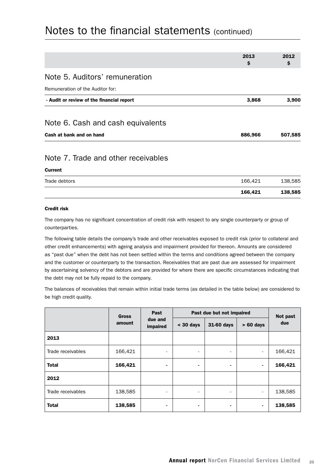|                                           | 2013<br>\$ | 2012<br>\$ |
|-------------------------------------------|------------|------------|
|                                           |            |            |
| Note 5. Auditors' remuneration            |            |            |
| Remuneration of the Auditor for:          |            |            |
| - Audit or review of the financial report | 3,868      | 3,900      |
| Note 6. Cash and cash equivalents         |            |            |
| Cash at bank and on hand                  | 886,966    | 507,585    |
| Note 7. Trade and other receivables       |            |            |

#### Current

| Trade debtors | 166.421 | 138,585 |
|---------------|---------|---------|

#### Credit risk

The company has no significant concentration of credit risk with respect to any single counterparty or group of counterparties.

The following table details the company's trade and other receivables exposed to credit risk (prior to collateral and other credit enhancements) with ageing analysis and impairment provided for thereon. Amounts are considered as "past due" when the debt has not been settled within the terms and conditions agreed between the company and the customer or counterparty to the transaction. Receivables that are past due are assessed for impairment by ascertaining solvency of the debtors and are provided for where there are specific circumstances indicating that the debt may not be fully repaid to the company.

The balances of receivables that remain within initial trade terms (as detailed in the table below) are considered to be high credit quality.

| <b>Gross</b>      |             | Past<br>due and<br>impaired | Past due but not impaired |                |                          | Not past |
|-------------------|-------------|-----------------------------|---------------------------|----------------|--------------------------|----------|
| amount            | $<$ 30 days |                             | 31-60 days                | $> 60$ days    | due                      |          |
| 2013              |             |                             |                           |                |                          |          |
| Trade receivables | 166,421     | $\overline{\phantom{a}}$    | $\overline{\phantom{0}}$  |                | $\overline{\phantom{a}}$ | 166,421  |
| <b>Total</b>      | 166,421     | ٠                           | ۰                         | $\blacksquare$ | $\blacksquare$           | 166,421  |
| 2012              |             |                             |                           |                |                          |          |
| Trade receivables | 138,585     | $\overline{\phantom{a}}$    | ٠                         | ٠              | $\overline{\phantom{a}}$ | 138,585  |
| <b>Total</b>      | 138,585     | ٠                           |                           | ٠              | $\blacksquare$           | 138,585  |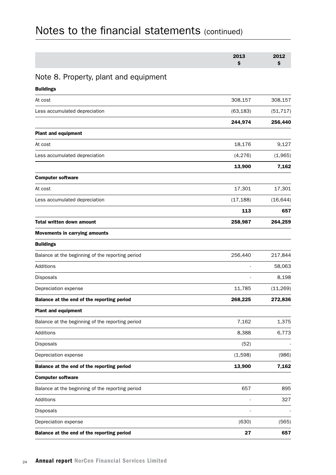| 2013 | 2012 |
|------|------|
|      |      |

## Note 8. Property, plant and equipment

| <b>Buildings</b>                                 |           |           |
|--------------------------------------------------|-----------|-----------|
| At cost                                          | 308,157   | 308,157   |
| Less accumulated depreciation                    | (63, 183) | (51, 717) |
|                                                  | 244,974   | 256,440   |
| <b>Plant and equipment</b>                       |           |           |
| At cost                                          | 18,176    | 9,127     |
| Less accumulated depreciation                    | (4, 276)  | (1,965)   |
|                                                  | 13,900    | 7,162     |
| <b>Computer software</b>                         |           |           |
| At cost                                          | 17,301    | 17,301    |
| Less accumulated depreciation                    | (17, 188) | (16, 644) |
|                                                  | 113       | 657       |
| <b>Total written down amount</b>                 | 258,987   | 264,259   |
| <b>Movements in carrying amounts</b>             |           |           |
| <b>Buildings</b>                                 |           |           |
| Balance at the beginning of the reporting period | 256,440   | 217,844   |
| Additions                                        |           | 58,063    |
| Disposals                                        |           | 8,198     |
| Depreciation expense                             | 11,785    | (11, 269) |
| Balance at the end of the reporting period       | 268,225   | 272,836   |
| <b>Plant and equipment</b>                       |           |           |
| Balance at the beginning of the reporting period | 7,162     | 1,375     |
| Additions                                        | 8,388     | 6,773     |
| Disposals                                        | (52)      |           |
| Depreciation expense                             | (1,598)   | (986)     |
| Balance at the end of the reporting period       | 13,900    | 7,162     |
| <b>Computer software</b>                         |           |           |
| Balance at the beginning of the reporting period | 657       | 895       |
| Additions                                        |           | 327       |
| Disposals                                        |           |           |
| Depreciation expense                             | (630)     | (565)     |
| Balance at the end of the reporting period       | 27        | 657       |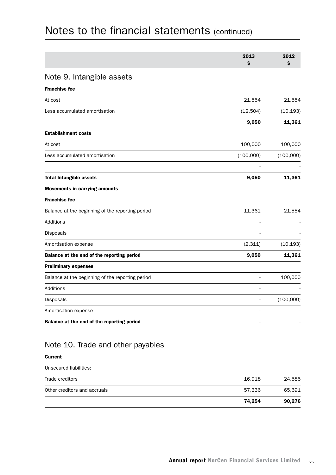|                                                  | 2013<br>\$ | 2012<br>\$ |
|--------------------------------------------------|------------|------------|
| Note 9. Intangible assets                        |            |            |
| <b>Franchise fee</b>                             |            |            |
| At cost                                          | 21,554     | 21,554     |
| Less accumulated amortisation                    | (12, 504)  | (10, 193)  |
|                                                  | 9,050      | 11,361     |
| <b>Establishment costs</b>                       |            |            |
| At cost                                          | 100,000    | 100,000    |
| Less accumulated amortisation                    | (100,000)  | (100,000)  |
| <b>Total Intangible assets</b>                   | 9,050      | 11,361     |
| <b>Movements in carrying amounts</b>             |            |            |
| <b>Franchise fee</b>                             |            |            |
| Balance at the beginning of the reporting period | 11,361     | 21,554     |
| Additions                                        |            |            |
| Disposals                                        |            |            |
| Amortisation expense                             | (2,311)    | (10, 193)  |
| Balance at the end of the reporting period       | 9,050      | 11,361     |
| <b>Preliminary expenses</b>                      |            |            |
| Balance at the beginning of the reporting period |            | 100,000    |
| Additions                                        |            |            |
| Disposals                                        |            | (100,000)  |
| Amortisation expense                             |            |            |
| Balance at the end of the reporting period       |            |            |

#### Current

| Unsecured liabilities:       |        |        |
|------------------------------|--------|--------|
| Trade creditors              | 16.918 | 24,585 |
| Other creditors and accruals | 57.336 | 65.691 |
|                              | 74,254 | 90,276 |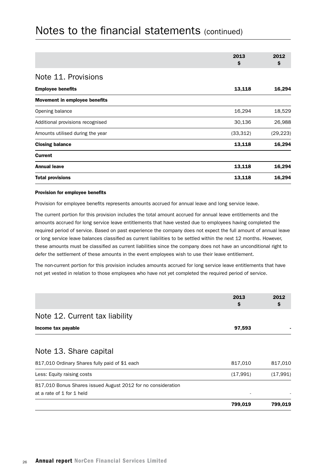|                                      | 2013      | 2012      |
|--------------------------------------|-----------|-----------|
|                                      | \$        | \$        |
| Note 11. Provisions                  |           |           |
| <b>Employee benefits</b>             | 13,118    | 16,294    |
| <b>Movement in employee benefits</b> |           |           |
| Opening balance                      | 16,294    | 18,529    |
| Additional provisions recognised     | 30,136    | 26,988    |
| Amounts utilised during the year     | (33, 312) | (29, 223) |
| <b>Closing balance</b>               | 13,118    | 16,294    |
| <b>Current</b>                       |           |           |
| <b>Annual leave</b>                  | 13,118    | 16,294    |
| <b>Total provisions</b>              | 13,118    | 16,294    |

#### Provision for employee benefits

Provision for employee benefits represents amounts accrued for annual leave and long service leave.

The current portion for this provision includes the total amount accrued for annual leave entitlements and the amounts accrued for long service leave entitlements that have vested due to employees having completed the required period of service. Based on past experience the company does not expect the full amount of annual leave or long service leave balances classified as current liabilities to be settled within the next 12 months. However, these amounts must be classified as current liabilities since the company does not have an unconditional right to defer the settlement of these amounts in the event employees wish to use their leave entitlement.

The non-current portion for this provision includes amounts accrued for long service leave entitlements that have not yet vested in relation to those employees who have not yet completed the required period of service.

|                                                                                           | 2013<br>S | 2012<br>Ş |
|-------------------------------------------------------------------------------------------|-----------|-----------|
| Note 12. Current tax liability                                                            |           |           |
| Income tax payable                                                                        | 97,593    |           |
|                                                                                           |           |           |
| Note 13. Share capital                                                                    |           |           |
| 817,010 Ordinary Shares fully paid of \$1 each                                            | 817,010   | 817,010   |
| Less: Equity raising costs                                                                | (17,991)  | (17, 991) |
| 817,010 Bonus Shares issued August 2012 for no consideration<br>at a rate of 1 for 1 held |           |           |
|                                                                                           | 799,019   | 799,019   |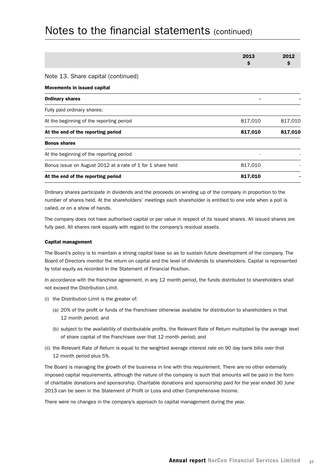|                                                            | 2013<br>S | 2012<br>\$. |
|------------------------------------------------------------|-----------|-------------|
| Note 13. Share capital (continued)                         |           |             |
| <b>Movements in issued capital</b>                         |           |             |
| <b>Ordinary shares</b>                                     |           |             |
| Fully paid ordinary shares:                                |           |             |
| At the beginning of the reporting period                   | 817,010   | 817,010     |
| At the end of the reporting period                         | 817,010   | 817,010     |
| <b>Bonus shares</b>                                        |           |             |
| At the beginning of the reporting period                   |           |             |
| Bonus issue on August 2012 at a rate of 1 for 1 share held | 817,010   |             |
| At the end of the reporting period                         | 817,010   |             |

Ordinary shares participate in dividends and the proceeds on winding up of the company in proportion to the number of shares held. At the shareholders' meetings each shareholder is entitled to one vote when a poll is called, or on a show of hands.

The company does not have authorised capital or par value in respect of its issued shares. All issued shares are fully paid. All shares rank equally with regard to the company's residual assets.

#### Capital management

The Board's policy is to maintain a strong capital base so as to sustain future development of the company. The Board of Directors monitor the return on capital and the level of dividends to shareholders. Capital is represented by total equity as recorded in the Statement of Financial Position.

In accordance with the franchise agreement, in any 12 month period, the funds distributed to shareholders shall not exceed the Distribution Limit.

- (i) the Distribution Limit is the greater of:
	- (a) 20% of the profit or funds of the Franchisee otherwise available for distribution to shareholders in that 12 month period; and
	- (b) subject to the availability of distributable profits, the Relevant Rate of Return multiplied by the average level of share capital of the Franchisee over that 12 month period; and
- (ii) the Relevant Rate of Return is equal to the weighted average interest rate on 90 day bank bills over that 12 month period plus 5%.

The Board is managing the growth of the business in line with this requirement. There are no other externally imposed capital requirements, although the nature of the company is such that amounts will be paid in the form of charitable donations and sponsorship. Charitable donations and sponsorship paid for the year ended 30 June 2013 can be seen in the Statement of Profit or Loss and other Comprehensive Income.

There were no changes in the company's approach to capital management during the year.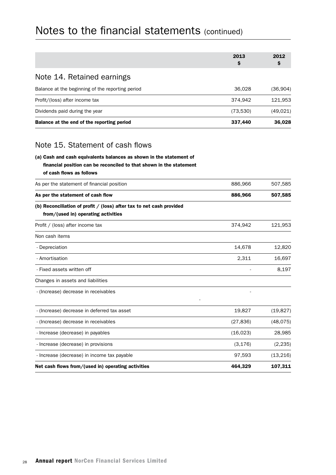| Balance at the end of the reporting period       | 337,440   | 36,028    |
|--------------------------------------------------|-----------|-----------|
| Dividends paid during the year                   | (73,530)  | (49, 021) |
| Profit/(loss) after income tax                   | 374,942   | 121,953   |
| Balance at the beginning of the reporting period | 36,028    | (36,904)  |
| Note 14. Retained earnings                       |           |           |
|                                                  | 2013<br>Ş | 2012<br>Ş |
|                                                  |           |           |

### Note 15. Statement of cash flows

### (a) Cash and cash equivalents balances as shown in the statement of financial position can be reconciled to that shown in the statement

# of cash flows as follows As per the statement of financial position and the statement of financial position and the statement of financial position and the statement of financial position and the statement of financial position and the statement o As per the statement of cash flow **886,966** 507,585 (b) Reconciliation of profit / (loss) after tax to net cash provided from/(used in) operating activities Profit / (loss) after income tax 374,942 121,953 Non cash items - Depreciation 14,678 12,820 - Amortisation 2,311 16,697 - Fixed assets written off  $\overline{8.197}$ Changes in assets and liabilities - (Increase) decrease in receivables - - (Increase) decrease in deferred tax asset 19,827 (19,827) - (Increase) decrease in receivables (27,836) (48,075) - Increase (decrease) in payables (16,023) 28,985 - Increase (decrease) in provisions (3,176) (2,235) - Increase (decrease) in income tax payable 97,593 (13,216)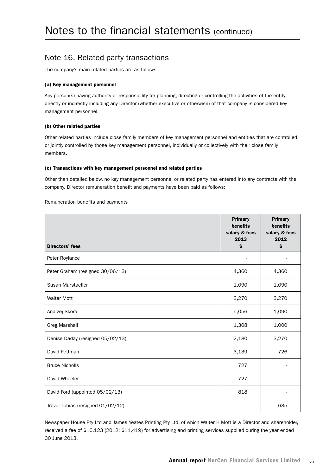### Note 16. Related party transactions

The company's main related parties are as follows:

#### (a) Key management personnel

Any person(s) having authority or responsibility for planning, directing or controlling the activities of the entity, directly or indirectly including any Director (whether executive or otherwise) of that company is considered key management personnel.

#### (b) Other related parties

Other related parties include close family members of key management personnel and entities that are controlled or jointly controlled by those key management personnel, individually or collectively with their close family members.

#### (c) Transactions with key management personnel and related parties

Other than detailed below, no key management personnel or related party has entered into any contracts with the company. Director remuneration benefit and payments have been paid as follows:

#### Remuneration benefits and payments

| <b>Directors' fees</b>            | <b>Primary</b><br>benefits<br>salary & fees<br>2013<br>\$ | <b>Primary</b><br>benefits<br>salary & fees<br>2012<br>\$ |
|-----------------------------------|-----------------------------------------------------------|-----------------------------------------------------------|
| Peter Roylance                    | $\blacksquare$                                            | $\overline{a}$                                            |
| Peter Graham (resigned 30/06/13)  | 4,360                                                     | 4,360                                                     |
| Susan Marstaeller                 | 1,090                                                     | 1,090                                                     |
| <b>Walter Mott</b>                | 3,270                                                     | 3,270                                                     |
| Andrzej Skora                     | 5,056                                                     | 1,090                                                     |
| <b>Greg Marshall</b>              | 1,308                                                     | 1,000                                                     |
| Denise Daday (resigned 05/02/13)  | 2,180                                                     | 3,270                                                     |
| David Pettman                     | 3,139                                                     | 726                                                       |
| <b>Bruce Nicholls</b>             | 727                                                       |                                                           |
| David Wheeler                     | 727                                                       |                                                           |
| David Ford (appointed 05/02/13)   | 818                                                       |                                                           |
| Trevor Tobias (resigned 01/02/12) |                                                           | 635                                                       |

Newspaper House Pty Ltd and James Yeates Printing Pty Ltd, of which Walter H Mott is a Director and shareholder, received a fee of \$16,123 (2012: \$11,419) for advertising and printing services supplied during the year ended 30 June 2013.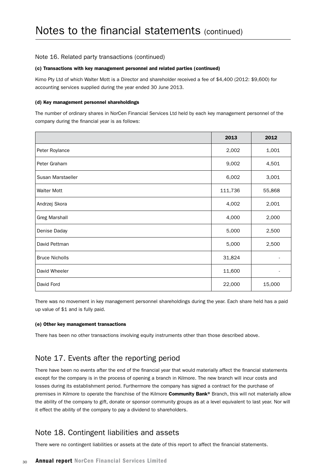#### Note 16. Related party transactions (continued)

#### (c) Transactions with key management personnel and related parties (continued)

Kimo Pty Ltd of which Walter Mott is a Director and shareholder received a fee of \$4,400 (2012: \$9,600) for accounting services supplied during the year ended 30 June 2013.

#### (d) Key management personnel shareholdings

The number of ordinary shares in NorCen Financial Services Ltd held by each key management personnel of the company during the financial year is as follows:

|                       | 2013    | 2012   |
|-----------------------|---------|--------|
| Peter Roylance        | 2,002   | 1,001  |
| Peter Graham          | 9,002   | 4,501  |
| Susan Marstaeller     | 6,002   | 3,001  |
| <b>Walter Mott</b>    | 111,736 | 55,868 |
| Andrzej Skora         | 4,002   | 2,001  |
| <b>Greg Marshall</b>  | 4,000   | 2,000  |
| Denise Daday          | 5,000   | 2,500  |
| David Pettman         | 5,000   | 2,500  |
| <b>Bruce Nicholls</b> | 31,824  |        |
| David Wheeler         | 11,600  | ۰      |
| David Ford            | 22,000  | 15,000 |

There was no movement in key management personnel shareholdings during the year. Each share held has a paid up value of \$1 and is fully paid.

#### (e) Other key management transactions

There has been no other transactions involving equity instruments other than those described above.

## Note 17. Events after the reporting period

There have been no events after the end of the financial year that would materially affect the financial statements except for the company is in the process of opening a branch in Kilmore. The new branch will incur costs and losses during its establishment period. Furthermore the company has signed a contract for the purchase of premises in Kilmore to operate the franchise of the Kilmore Community Bank® Branch, this will not materially allow the ability of the company to gift, donate or sponsor community groups as at a level equivalent to last year. Nor will it effect the ability of the company to pay a dividend to shareholders.

### Note 18. Contingent liabilities and assets

There were no contingent liabilities or assets at the date of this report to affect the financial statements.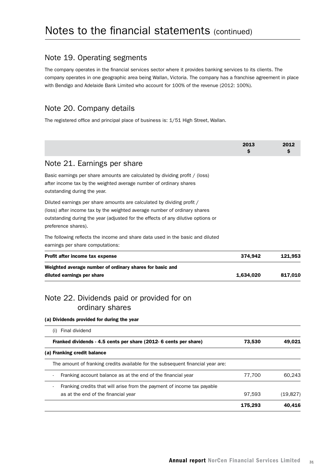### Note 19. Operating segments

The company operates in the financial services sector where it provides banking services to its clients. The company operates in one geographic area being Wallan, Victoria. The company has a franchise agreement in place with Bendigo and Adelaide Bank Limited who account for 100% of the revenue (2012: 100%).

### Note 20. Company details

The registered office and principal place of business is: 1/51 High Street, Wallan.

|                                                                                                                                                                                                                                                                | 2013<br>Ś | 2012<br>Ś |
|----------------------------------------------------------------------------------------------------------------------------------------------------------------------------------------------------------------------------------------------------------------|-----------|-----------|
| Note 21. Earnings per share                                                                                                                                                                                                                                    |           |           |
| Basic earnings per share amounts are calculated by dividing profit / (loss)<br>after income tax by the weighted average number of ordinary shares<br>outstanding during the year.                                                                              |           |           |
| Diluted earnings per share amounts are calculated by dividing profit /<br>(loss) after income tax by the weighted average number of ordinary shares<br>outstanding during the year (adjusted for the effects of any dilutive options or<br>preference shares). |           |           |
| The following reflects the income and share data used in the basic and diluted<br>earnings per share computations:                                                                                                                                             |           |           |
| Profit after income tax expense                                                                                                                                                                                                                                | 374,942   | 121,953   |
| Weighted average number of ordinary shares for basic and<br>diluted earnings per share                                                                                                                                                                         | 1,634,020 | 817,010   |
| Note 22. Dividends paid or provided for on<br>ordinary shares                                                                                                                                                                                                  |           |           |
| (a) Dividends provided for during the year                                                                                                                                                                                                                     |           |           |
| (i) Final dividend                                                                                                                                                                                                                                             |           |           |
| Franked dividends - 4.5 cents per share (2012- 6 cents per share)                                                                                                                                                                                              | 73,530    | 49,021    |
| (a) Franking credit balance                                                                                                                                                                                                                                    |           |           |
| The amount of franking credits available for the subsequent financial year are:                                                                                                                                                                                |           |           |
| Franking account balance as at the end of the financial year                                                                                                                                                                                                   | 77,700    | 60,243    |
| Franking credits that will arise from the payment of income tax payable                                                                                                                                                                                        |           |           |
| as at the end of the financial year                                                                                                                                                                                                                            | 97,593    | (19, 827) |
|                                                                                                                                                                                                                                                                | 175,293   | 40,416    |
|                                                                                                                                                                                                                                                                |           |           |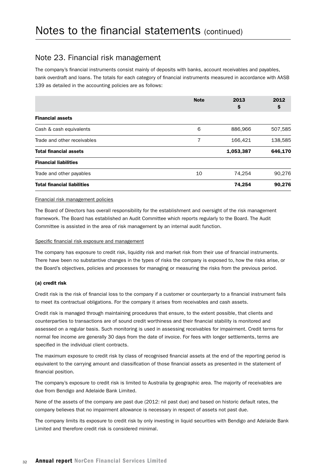### Note 23. Financial risk management

The company's financial instruments consist mainly of deposits with banks, account receivables and payables, bank overdraft and loans. The totals for each category of financial instruments measured in accordance with AASB 139 as detailed in the accounting policies are as follows:

|                                    | <b>Note</b> | 2013<br>Ş | 2012<br>Ş |
|------------------------------------|-------------|-----------|-----------|
| <b>Financial assets</b>            |             |           |           |
| Cash & cash equivalents            | 6           | 886,966   | 507,585   |
| Trade and other receivables        | 7           | 166,421   | 138,585   |
| <b>Total financial assets</b>      |             | 1,053,387 | 646,170   |
| <b>Financial liabilities</b>       |             |           |           |
| Trade and other payables           | 10          | 74.254    | 90,276    |
| <b>Total financial liabilities</b> |             | 74,254    | 90,276    |

#### Financial risk management policies

The Board of Directors has overall responsibility for the establishment and oversight of the risk management framework. The Board has established an Audit Committee which reports regularly to the Board. The Audit Committee is assisted in the area of risk management by an internal audit function.

#### Specific financial risk exposure and management

The company has exposure to credit risk, liquidity risk and market risk from their use of financial instruments. There have been no substantive changes in the types of risks the company is exposed to, how the risks arise, or the Board's objectives, policies and processes for managing or measuring the risks from the previous period.

#### (a) credit risk

Credit risk is the risk of financial loss to the company if a customer or counterparty to a financial instrument fails to meet its contractual obligations. For the company it arises from receivables and cash assets.

Credit risk is managed through maintaining procedures that ensure, to the extent possible, that clients and counterparties to transactions are of sound credit worthiness and their financial stability is monitored and assessed on a regular basis. Such monitoring is used in assessing receivables for impairment. Credit terms for normal fee income are generally 30 days from the date of invoice. For fees with longer settlements, terms are specified in the individual client contracts.

The maximum exposure to credit risk by class of recognised financial assets at the end of the reporting period is equivalent to the carrying amount and classification of those financial assets as presented in the statement of financial position.

The company's exposure to credit risk is limited to Australia by geographic area. The majority of receivables are due from Bendigo and Adelaide Bank Limited.

None of the assets of the company are past due (2012: nil past due) and based on historic default rates, the company believes that no impairment allowance is necessary in respect of assets not past due.

The company limits its exposure to credit risk by only investing in liquid securities with Bendigo and Adelaide Bank Limited and therefore credit risk is considered minimal.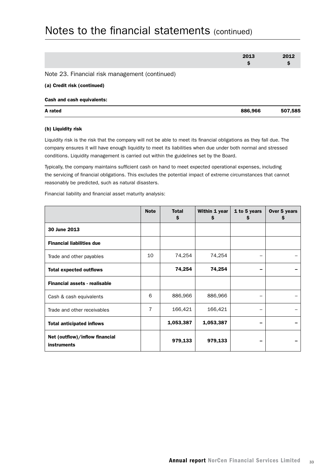| A rated                                        | 886,966    | 507,585    |
|------------------------------------------------|------------|------------|
| Cash and cash equivalents:                     |            |            |
| (a) Credit risk (continued)                    |            |            |
| Note 23. Financial risk management (continued) |            |            |
|                                                | 2013<br>\$ | 2012<br>\$ |
|                                                |            |            |

#### (b) Liquidity risk

Liquidity risk is the risk that the company will not be able to meet its financial obligations as they fall due. The company ensures it will have enough liquidity to meet its liabilities when due under both normal and stressed conditions. Liquidity management is carried out within the guidelines set by the Board.

Typically, the company maintains sufficient cash on hand to meet expected operational expenses, including the servicing of financial obligations. This excludes the potential impact of extreme circumstances that cannot reasonably be predicted, such as natural disasters.

Financial liability and financial asset maturity analysis:

|                                                      | <b>Note</b>    | <b>Total</b><br>\$ | Within 1 year<br>S | 1 to 5 years<br>\$ | Over 5 years<br>\$ |
|------------------------------------------------------|----------------|--------------------|--------------------|--------------------|--------------------|
| 30 June 2013                                         |                |                    |                    |                    |                    |
| <b>Financial liabilities due</b>                     |                |                    |                    |                    |                    |
| Trade and other payables                             | 10             | 74,254             | 74,254             |                    |                    |
| <b>Total expected outflows</b>                       |                | 74,254             | 74,254             |                    |                    |
| <b>Financial assets - realisable</b>                 |                |                    |                    |                    |                    |
| Cash & cash equivalents                              | 6              | 886,966            | 886,966            |                    |                    |
| Trade and other receivables                          | $\overline{7}$ | 166,421            | 166,421            |                    |                    |
| <b>Total anticipated inflows</b>                     |                | 1,053,387          | 1,053,387          |                    |                    |
| Net (outflow)/inflow financial<br><b>instruments</b> |                | 979,133            | 979,133            |                    |                    |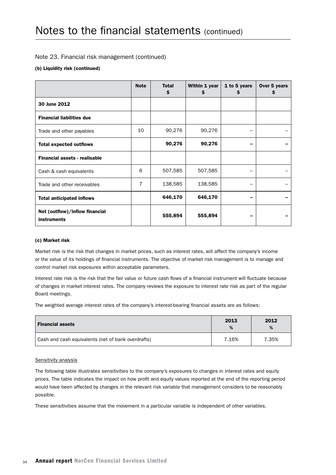#### Note 23. Financial risk management (continued)

#### (b) Liquidity risk (continued)

|                                                      | <b>Note</b> | <b>Total</b><br>\$ | Within 1 year<br>S | 1 to 5 years<br>s | Over 5 years<br>s |
|------------------------------------------------------|-------------|--------------------|--------------------|-------------------|-------------------|
| 30 June 2012                                         |             |                    |                    |                   |                   |
| <b>Financial liabilities due</b>                     |             |                    |                    |                   |                   |
| Trade and other payables                             | 10          | 90,276             | 90,276             |                   |                   |
| <b>Total expected outflows</b>                       |             | 90,276             | 90,276             |                   |                   |
| <b>Financial assets - realisable</b>                 |             |                    |                    |                   |                   |
| Cash & cash equivalents                              | 6           | 507,585            | 507,585            |                   |                   |
| Trade and other receivables                          | 7           | 138,585            | 138,585            |                   |                   |
| <b>Total anticipated inflows</b>                     |             | 646,170            | 646,170            |                   |                   |
| Net (outflow)/inflow financial<br><b>instruments</b> |             | 555,894            | 555,894            |                   |                   |

#### (c) Market risk

Market risk is the risk that changes in market prices, such as interest rates, will affect the company's income or the value of its holdings of financial instruments. The objective of market risk management is to manage and control market risk exposures within acceptable parameters.

Interest rate risk is the risk that the fair value or future cash flows of a financial instrument will fluctuate because of changes in market interest rates. The company reviews the exposure to interest rate risk as part of the regular Board meetings.

The weighted average interest rates of the company's interest-bearing financial assets are as follows:

| <b>Financial assets</b>                            | 2013<br>% | 2012<br>% |
|----------------------------------------------------|-----------|-----------|
| Cash and cash equivalents (net of bank overdrafts) | 7.16%     | 7.35%     |

#### Sensitivity analysis

The following table illustrates sensitivities to the company's exposures to changes in interest rates and equity prices. The table indicates the impact on how profit and equity values reported at the end of the reporting period would have been affected by changes in the relevant risk variable that management considers to be reasonably possible.

These sensitivities assume that the movement in a particular variable is independent of other variables.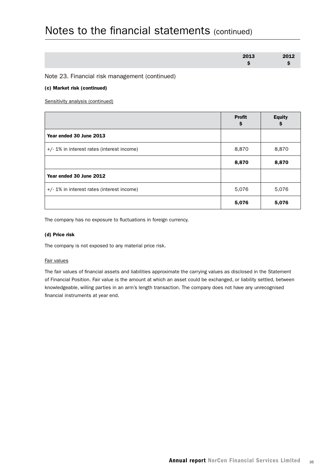| 2013 | 2012 |
|------|------|
|      |      |

Note 23. Financial risk management (continued)

#### (c) Market risk (continued)

Sensitivity analysis (continued)

|                                           | <b>Profit</b><br>S | <b>Equity</b><br>\$ |
|-------------------------------------------|--------------------|---------------------|
| Year ended 30 June 2013                   |                    |                     |
| +/-1% in interest rates (interest income) | 8,870              | 8,870               |
|                                           | 8,870              | 8,870               |
| Year ended 30 June 2012                   |                    |                     |
| +/-1% in interest rates (interest income) | 5,076              | 5,076               |
|                                           | 5,076              | 5,076               |

The company has no exposure to fluctuations in foreign currency.

#### (d) Price risk

The company is not exposed to any material price risk.

#### Fair values

The fair values of financial assets and liabilities approximate the carrying values as disclosed in the Statement of Financial Position. Fair value is the amount at which an asset could be exchanged, or liability settled, between knowledgeable, willing parties in an arm's length transaction. The company does not have any unrecognised financial instruments at year end.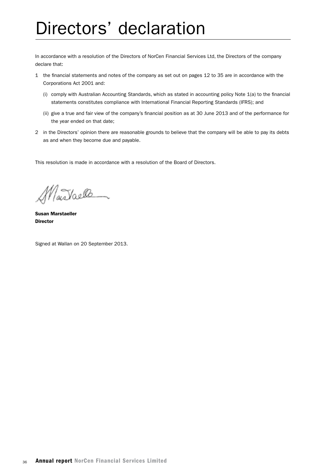# Directors' declaration

In accordance with a resolution of the Directors of NorCen Financial Services Ltd, the Directors of the company declare that:

- 1 the financial statements and notes of the company as set out on pages 12 to 35 are in accordance with the Corporations Act 2001 and:
	- (i) comply with Australian Accounting Standards, which as stated in accounting policy Note 1(a) to the financial statements constitutes compliance with International Financial Reporting Standards (IFRS); and
	- (ii) give a true and fair view of the company's financial position as at 30 June 2013 and of the performance for the year ended on that date;
- 2 in the Directors' opinion there are reasonable grounds to believe that the company will be able to pay its debts as and when they become due and payable.

This resolution is made in accordance with a resolution of the Board of Directors.

Nastaelle

Susan Marstaeller **Director** 

Signed at Wallan on 20 September 2013.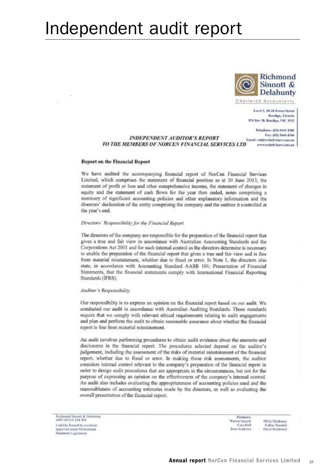# Independent audit report



Level 2, 10-14 Forest Street Bendige, Victoria PO Box 30, Bendigo, VIC 3552

Telephone: (83) 5445 4200 Fax: 1974 SALL 4344 **INDEPENDENT AUDITOR'S REPORT** Email: red@railadvisers.com.au TO THE MEMBERS OF NORCEN FINANCIAL SERVICES LTD www.rsdadvisaes.com.au

#### **Report on the Financial Report**

We have audited the accompanying financial report of NorCen Financial Services Limited, which comprises the statement of financial position as at 30 June 2013, the statement of profit or loss and other comprehensive income, the statement of changes in equity and the statement of cash flows for the year then ended, notes comprising a summary of significant accounting policies and other explanatory information and the directors' declaration of the entity comprising the company and the entities it controlled at the year's end.

#### Directors' Responsibility for the Financial Report

The directors of the company are responsible for the preparation of the financial report that gives a true and fair view in accordance with Australian Accounting Standards and the Corporations Act 2001 and for such internal control as the directors determine is necessary to enable the preparation of the financial report that gives a true and fair view and is free from material misstatement, whether due to fraud or error. In Note 1, the directors also state, in accordance with Accounting Standard AASB 101: Presentation of Financial Statements, that the financial statements comply with International Financial Reporting Standards (IFRS).

#### Auditor's Responsibility

Our responsibility is to express an opinion on the financial report based on our audit. We conducted our audit in accordance with Australian Auditing Standards. Those standards require that we comply with relevant ethical requirements relating to audit engagements and plan and perform the audit to obtain reasonable assurance about whether the financial report is free from material misstatement.

An audit involves performing procedures to obtain audit evidence about the amounts and disclosures in the financial report. The procedures selected depend on the auditor's judgement, including the assessment of the risks of material misstatement of the financial report, whether due to fraud or error. In making those risk assessments, the auditor considers internal control relevant to the company's preparation of the financial report in order to design audit procedures that are appropriate in the circumstances, but not for the purpose of expressing an opinion on the effectiveness of the company's internal control. An audit also includes evaluating the appropriateness of accounting policies used and the reasonableness of accounting estimates made by the directors, as well as evaluating the overall presentation of the financial report.

Richmond Sinnett & Detabung ABN 40 616 244 309 Liability limited by a scheme approved under Professional Standards Legislation

Partners: Warren Sinoott Cata Hall **Brett Andrews** 

Philip Delaborat Kathie Texula David Richtsond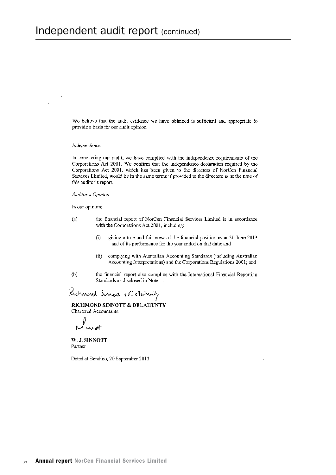We believe that the audit evidence we have obtained is sufficient and appropriate to provide a basis for our audit opinion.

#### Independence

In conducting our audit, we have complied with the independence requirements of the Corporations Act 2001. We confirm that the independence declaration required by the Corporations Act 2001, which has been given to the directors of NorCen Financial Services Limited, would be in the same terms if provided to the directors as at the time of this auditor's report.

#### Auditor's Opinion

In our opinion:

- the financial report of NorCen Financial Services Limited is in accordance  $\left( a\right)$ with the Corporations Act 2001, including:
	- giving a true and fair view of the financial position as at 30 June 2013  $(i)$ and of its performance for the year ended on that date; and
	- $(ii)$ complying with Australian Accounting Standards (including Australian Accounting Interpretations) and the Corporations Regulations 2001; and
- $(b)$ the financial report also complies with the International Financial Reporting Standards as disclosed in Note 1.

Richmond Surract + Delationly

RICHMOND SINNOTT & DELAHUNTY Chartered Accountants

W. J. SINNOTT Partner

Dated at Bendigo, 20 September 2013